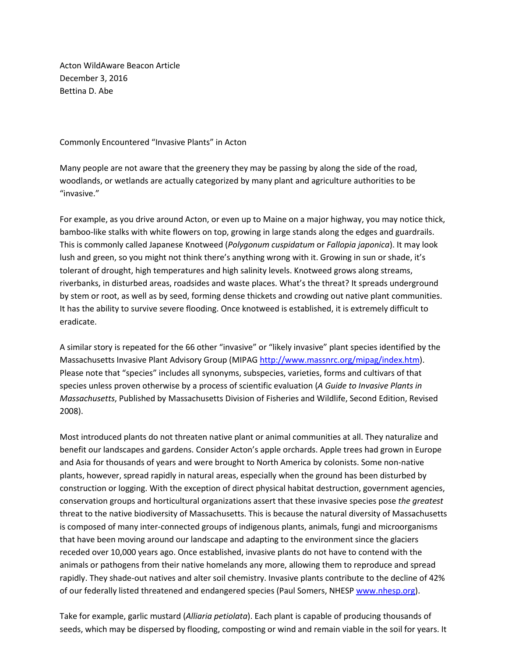Acton WildAware Beacon Article December 3, 2016 Bettina D. Abe

Commonly Encountered "Invasive Plants" in Acton

Many people are not aware that the greenery they may be passing by along the side of the road, woodlands, or wetlands are actually categorized by many plant and agriculture authorities to be "invasive."

For example, as you drive around Acton, or even up to Maine on a major highway, you may notice thick, bamboo-like stalks with white flowers on top, growing in large stands along the edges and guardrails. This is commonly called Japanese Knotweed (*Polygonum cuspidatum* or *Fallopia japonica*). It may look lush and green, so you might not think there's anything wrong with it. Growing in sun or shade, it's tolerant of drought, high temperatures and high salinity levels. Knotweed grows along streams, riverbanks, in disturbed areas, roadsides and waste places. What's the threat? It spreads underground by stem or root, as well as by seed, forming dense thickets and crowding out native plant communities. It has the ability to survive severe flooding. Once knotweed is established, it is extremely difficult to eradicate.

A similar story is repeated for the 66 other "invasive" or "likely invasive" plant species identified by the Massachusetts Invasive Plant Advisory Group (MIPAG [http://www.massnrc.org/mipag/index.htm\)](http://www.massnrc.org/mipag/index.htm). Please note that "species" includes all synonyms, subspecies, varieties, forms and cultivars of that species unless proven otherwise by a process of scientific evaluation (*A Guide to Invasive Plants in Massachusetts*, Published by Massachusetts Division of Fisheries and Wildlife, Second Edition, Revised 2008).

Most introduced plants do not threaten native plant or animal communities at all. They naturalize and benefit our landscapes and gardens. Consider Acton's apple orchards. Apple trees had grown in Europe and Asia for thousands of years and were brought to North America by colonists. Some non-native plants, however, spread rapidly in natural areas, especially when the ground has been disturbed by construction or logging. With the exception of direct physical habitat destruction, government agencies, conservation groups and horticultural organizations assert that these invasive species pose *the greatest* threat to the native biodiversity of Massachusetts. This is because the natural diversity of Massachusetts is composed of many inter-connected groups of indigenous plants, animals, fungi and microorganisms that have been moving around our landscape and adapting to the environment since the glaciers receded over 10,000 years ago. Once established, invasive plants do not have to contend with the animals or pathogens from their native homelands any more, allowing them to reproduce and spread rapidly. They shade-out natives and alter soil chemistry. Invasive plants contribute to the decline of 42% of our federally listed threatened and endangered species (Paul Somers, NHESP [www.nhesp.org](http://www.nhesp.org)).

Take for example, garlic mustard (*Alliaria petiolata*). Each plant is capable of producing thousands of seeds, which may be dispersed by flooding, composting or wind and remain viable in the soil for years. It